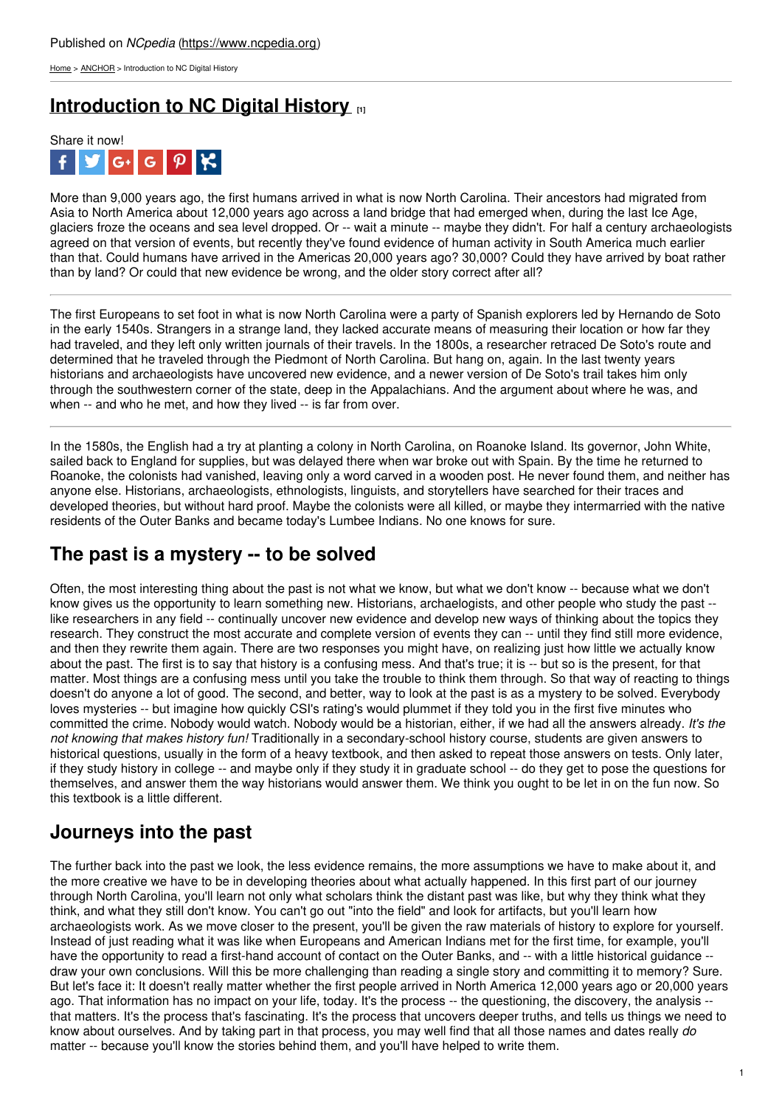[Home](https://www.ncpedia.org/) > [ANCHOR](https://www.ncpedia.org/anchor/anchor) > Introduction to NC Digital History

## **[Introduction](https://www.ncpedia.org/anchor/introduction-nc-digital) to NC Digital History [1]**



More than 9,000 years ago, the first humans arrived in what is now North Carolina. Their ancestors had migrated from Asia to North America about 12,000 years ago across a land bridge that had emerged when, during the last Ice Age, glaciers froze the oceans and sea level dropped. Or -- wait a minute -- maybe they didn't. For half a century archaeologists agreed on that version of events, but recently they've found evidence of human activity in South America much earlier than that. Could humans have arrived in the Americas 20,000 years ago? 30,000? Could they have arrived by boat rather than by land? Or could that new evidence be wrong, and the older story correct after all?

The first Europeans to set foot in what is now North Carolina were a party of Spanish explorers led by Hernando de Soto in the early 1540s. Strangers in a strange land, they lacked accurate means of measuring their location or how far they had traveled, and they left only written journals of their travels. In the 1800s, a researcher retraced De Soto's route and determined that he traveled through the [Piedmont](http://www.social9.com) of North Carolina. But hang on, again. In the last twenty years historians and archaeologists have uncovered new evidence, and a newer version of De Soto's trail takes him only through the southwestern corner of the state, deep in the Appalachians. And the argument about where he was, and when -- and who he met, and how they lived -- is far from over.

In the 1580s, the English had a try at planting a colony in North Carolina, on Roanoke Island. Its governor, John White, sailed back to England for supplies, but was delayed there when war broke out with Spain. By the time he returned to Roanoke, the colonists had vanished, leaving only a word carved in a wooden post. He never found them, and neither has anyone else. Historians, archaeologists, ethnologists, linguists, and storytellers have searched for their traces and developed theories, but without hard proof. Maybe the colonists were all killed, or maybe they intermarried with the native residents of the Outer Banks and became today's Lumbee Indians. No one knows for sure.

## **The past is a mystery -- to be solved**

Often, the most interesting thing about the past is not what we know, but what we don't know -- because what we don't know gives us the opportunity to learn something new. Historians, archaelogists, and other people who study the past - like researchers in any field -- continually uncover new evidence and develop new ways of thinking about the topics they research. They construct the most accurate and complete version of events they can -- until they find still more evidence, and then they rewrite them again. There are two responses you might have, on realizing just how little we actually know about the past. The first is to say that history is a confusing mess. And that's true; it is -- but so is the present, for that matter. Most things are a confusing mess until you take the trouble to think them through. So that way of reacting to things doesn't do anyone a lot of good. The second, and better, way to look at the past is as a mystery to be solved. Everybody loves mysteries -- but imagine how quickly CSI's rating's would plummet if they told you in the first five minutes who committed the crime. Nobody would watch. Nobody would be a historian, either, if we had all the answers already. *It's the not knowing that makes history fun!* Traditionally in a secondary-school history course, students are given answers to historical questions, usually in the form of a heavy textbook, and then asked to repeat those answers on tests. Only later, if they study history in college -- and maybe only if they study it in graduate school -- do they get to pose the questions for themselves, and answer them the way historians would answer them. We think you ought to be let in on the fun now. So this textbook is a little different.

## **Journeys into the past**

The further back into the past we look, the less evidence remains, the more assumptions we have to make about it, and the more creative we have to be in developing theories about what actually happened. In this first part of our journey through North Carolina, you'll learn not only what scholars think the distant past was like, but why they think what they think, and what they still don't know. You can't go out "into the field" and look for artifacts, but you'll learn how archaeologists work. As we move closer to the present, you'll be given the raw materials of history to explore for yourself. Instead of just reading what it was like when Europeans and American Indians met for the first time, for example, you'll have the opportunity to read a first-hand account of contact on the Outer Banks, and -- with a little historical guidance -draw your own conclusions. Will this be more challenging than reading a single story and committing it to memory? Sure. But let's face it: It doesn't really matter whether the first people arrived in North America 12,000 years ago or 20,000 years ago. That information has no impact on your life, today. It's the process -- the questioning, the discovery, the analysis -that matters. It's the process that's fascinating. It's the process that uncovers deeper truths, and tells us things we need to know about ourselves. And by taking part in that process, you may well find that all those names and dates really *do* matter -- because you'll know the stories behind them, and you'll have helped to write them.